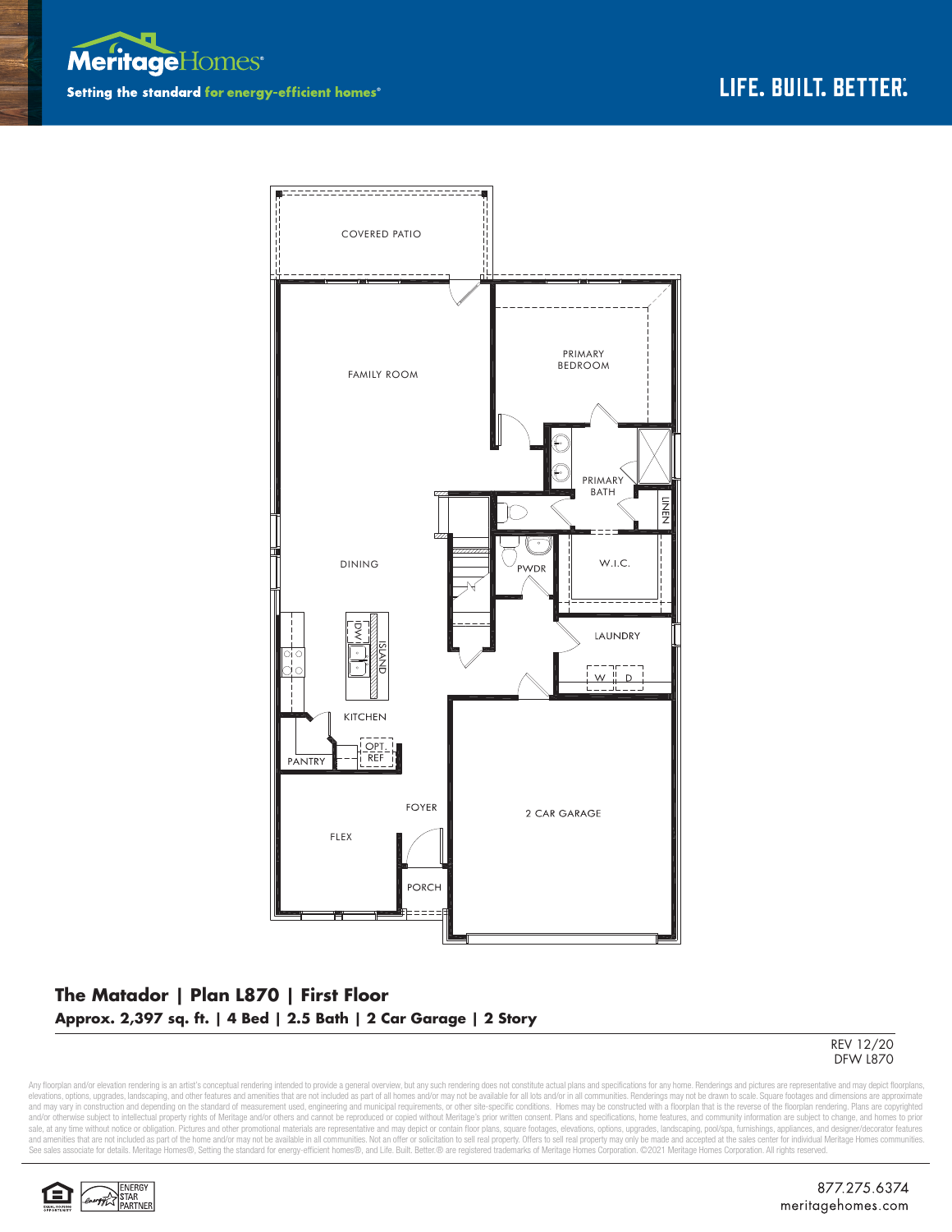



## **The Matador | Plan L870 | First Floor Approx. 2,397 sq. ft. | 4 Bed | 2.5 Bath | 2 Car Garage | 2 Story**



Any floorplan and/or elevation rendering is an artist's conceptual rendering intended to provide a general overview, but any such rendering does not constitute actual plans and specifications for any home. Renderings and p elevations, options, upgrades, landscaping, and other features and amenities that are not included as part of all homes and/or may not be available for all lots and/or in all communities. Renderings may not be drawn to sca and may vary in construction and depending on the standard of measurement used, engineering and municipal requirements, or other site-specific conditions. Homes may be constructed with a floorplan that is the reverse of th sale, at any time without notice or obligation. Pictures and other promotional materials are representative and may depict or contain floor plans, square footages, elevations, options, upgrades, landscaping, pool/spa, furn and amenities that are not included as part of the home and/or may not be available in all communities. Not an offer or solicitation to sell real property. Offers to sell real property may only be made and accepted at the